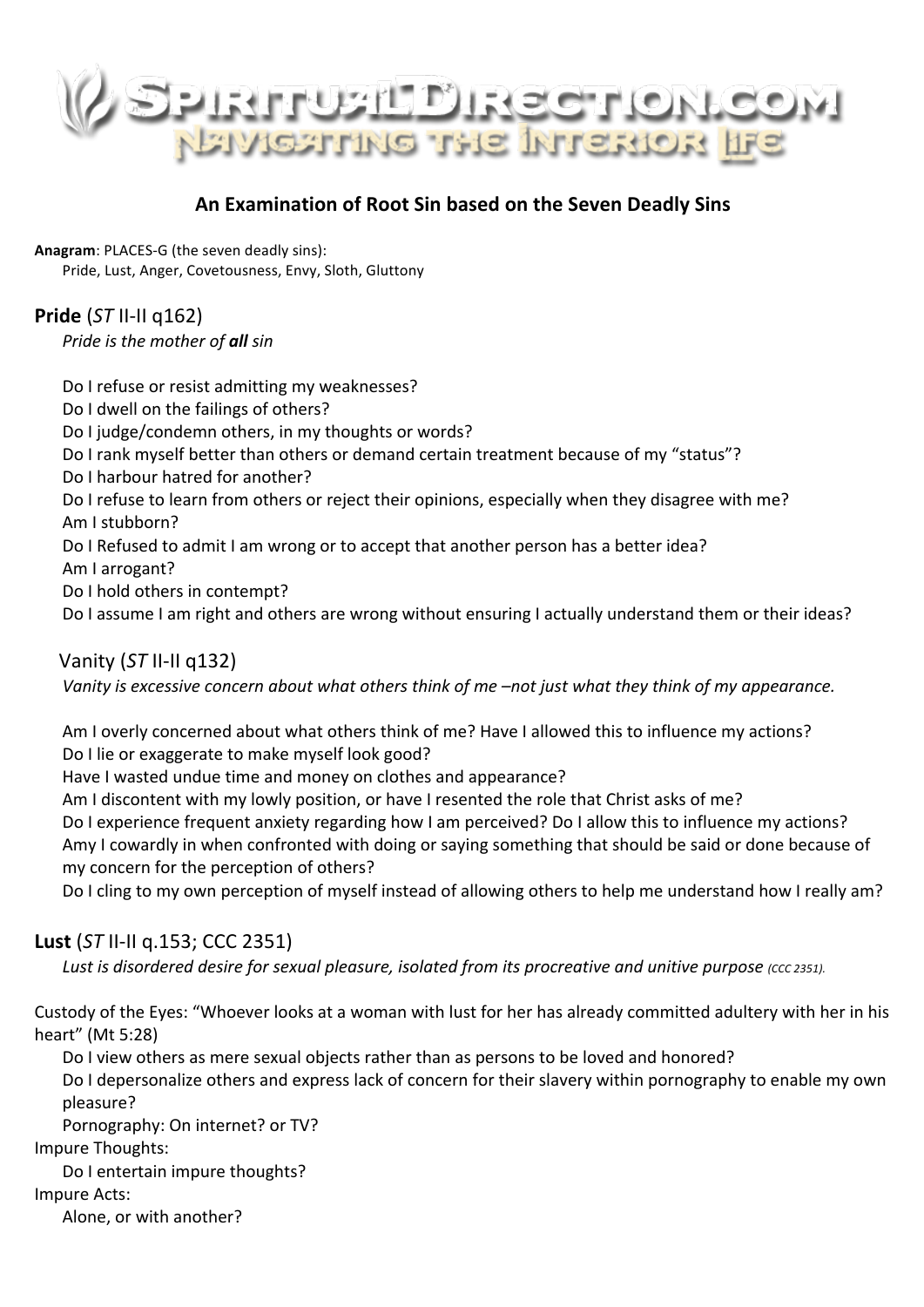

## **An Examination of Root Sin based on the Seven Deadly Sins**

**Anagram: PLACES-G (the seven deadly sins):** Pride, Lust, Anger, Covetousness, Envy, Sloth, Gluttony

**Pride** (*ST* II-II q162) *Pride is the mother of all sin* 

Do I refuse or resist admitting my weaknesses? Do I dwell on the failings of others? Do I judge/condemn others, in my thoughts or words? Do I rank myself better than others or demand certain treatment because of my "status"? Do I harbour hatred for another? Do I refuse to learn from others or reject their opinions, especially when they disagree with me? Am I stubborn? Do I Refused to admit I am wrong or to accept that another person has a better idea? Am I arrogant? Do I hold others in contempt? Do I assume I am right and others are wrong without ensuring I actually understand them or their ideas?

 Vanity (*ST* II-II q132)

*Vanity* is excessive concern about what others think of me -not just what they think of my appearance.

Am I overly concerned about what others think of me? Have I allowed this to influence my actions? Do I lie or exaggerate to make myself look good?

Have I wasted undue time and money on clothes and appearance?

Am I discontent with my lowly position, or have I resented the role that Christ asks of me?

Do I experience frequent anxiety regarding how I am perceived? Do I allow this to influence my actions? Amy I cowardly in when confronted with doing or saying something that should be said or done because of my concern for the perception of others?

Do I cling to my own perception of myself instead of allowing others to help me understand how I really am?

#### **Lust** (*ST* II-II q.153; CCC 2351)

*Lust is disordered desire for sexual pleasure, isolated from its procreative and unitive purpose (CCC 2351).* 

Custody of the Eyes: "Whoever looks at a woman with lust for her has already committed adultery with her in his heart" (Mt 5:28)

Do I view others as mere sexual objects rather than as persons to be loved and honored?

Do I depersonalize others and express lack of concern for their slavery within pornography to enable my own pleasure?

Pornography: On internet? or TV?

Impure Thoughts: 

Do I entertain impure thoughts?

Impure Acts: 

Alone, or with another?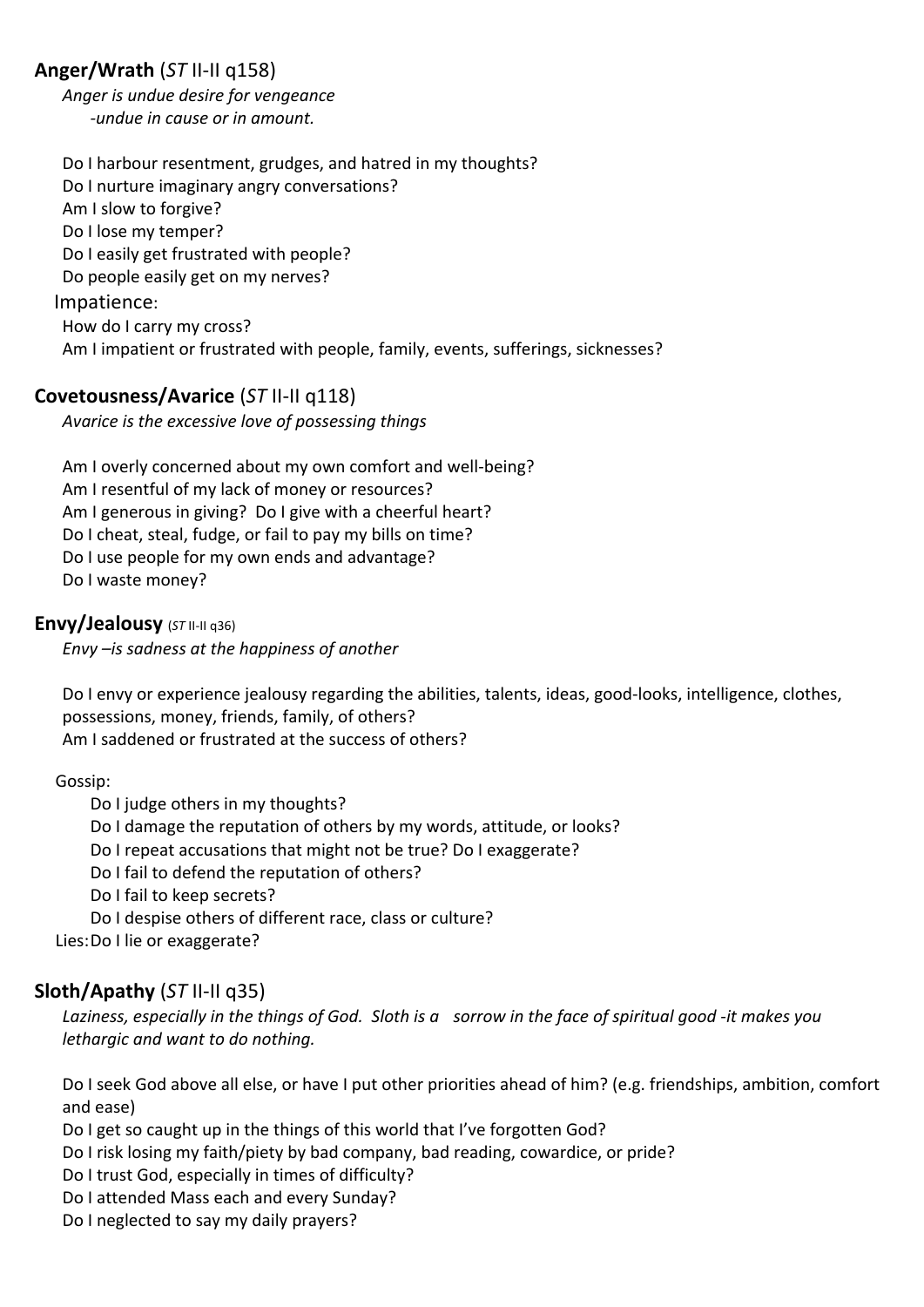# **Anger/Wrath** (*ST* II-II q158)

Anger is undue desire for vengeance *-undue in cause or in amount.* 

Do I harbour resentment, grudges, and hatred in my thoughts? Do I nurture imaginary angry conversations? Am I slow to forgive? Do I lose my temper? Do I easily get frustrated with people? Do people easily get on my nerves? Impatience: How do I carry my cross? Am I impatient or frustrated with people, family, events, sufferings, sicknesses?

#### **Covetousness/Avarice** (*ST* II-II q118)

Avarice is the excessive love of possessing things

Am I overly concerned about my own comfort and well-being? Am I resentful of my lack of money or resources? Am I generous in giving? Do I give with a cheerful heart? Do I cheat, steal, fudge, or fail to pay my bills on time? Do I use people for my own ends and advantage? Do I waste money?

#### **Envy/Jealousy** (*ST* II-II q36)

*Envy*  $-$ *is sadness at the happiness of another* 

Do I envy or experience jealousy regarding the abilities, talents, ideas, good-looks, intelligence, clothes, possessions, money, friends, family, of others? Am I saddened or frustrated at the success of others?

 Gossip:

Do I judge others in my thoughts? Do I damage the reputation of others by my words, attitude, or looks? Do I repeat accusations that might not be true? Do I exaggerate? Do I fail to defend the reputation of others? Do I fail to keep secrets? Do I despise others of different race, class or culture? Lies: Do I lie or exaggerate?

# **Sloth/Apathy** (*ST* II-II q35)

Laziness, especially in the things of God. Sloth is a sorrow in the face of spiritual good -it makes you *lethargic* and want to do nothing.

Do I seek God above all else, or have I put other priorities ahead of him? (e.g. friendships, ambition, comfort and ease) 

Do I get so caught up in the things of this world that I've forgotten God?

Do I risk losing my faith/piety by bad company, bad reading, cowardice, or pride?

Do I trust God, especially in times of difficulty?

Do I attended Mass each and every Sunday?

Do I neglected to say my daily prayers?